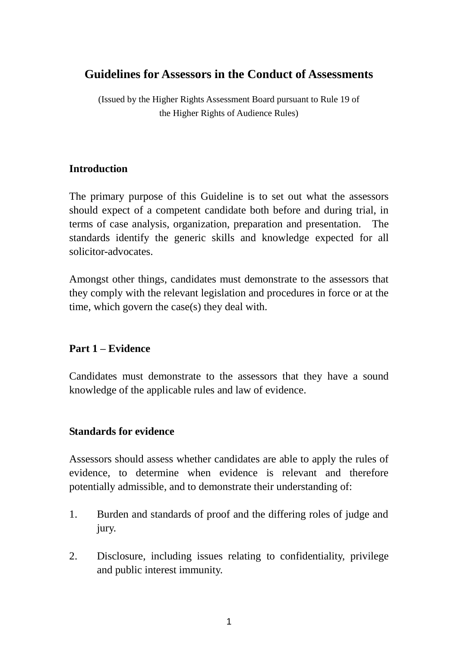# **Guidelines for Assessors in the Conduct of Assessments**

(Issued by the Higher Rights Assessment Board pursuant to Rule 19 of the Higher Rights of Audience Rules)

## **Introduction**

The primary purpose of this Guideline is to set out what the assessors should expect of a competent candidate both before and during trial, in terms of case analysis, organization, preparation and presentation. The standards identify the generic skills and knowledge expected for all solicitor-advocates.

Amongst other things, candidates must demonstrate to the assessors that they comply with the relevant legislation and procedures in force or at the time, which govern the case(s) they deal with.

## **Part 1 – Evidence**

Candidates must demonstrate to the assessors that they have a sound knowledge of the applicable rules and law of evidence.

#### **Standards for evidence**

Assessors should assess whether candidates are able to apply the rules of evidence, to determine when evidence is relevant and therefore potentially admissible, and to demonstrate their understanding of:

- 1. Burden and standards of proof and the differing roles of judge and jury.
- 2. Disclosure, including issues relating to confidentiality, privilege and public interest immunity.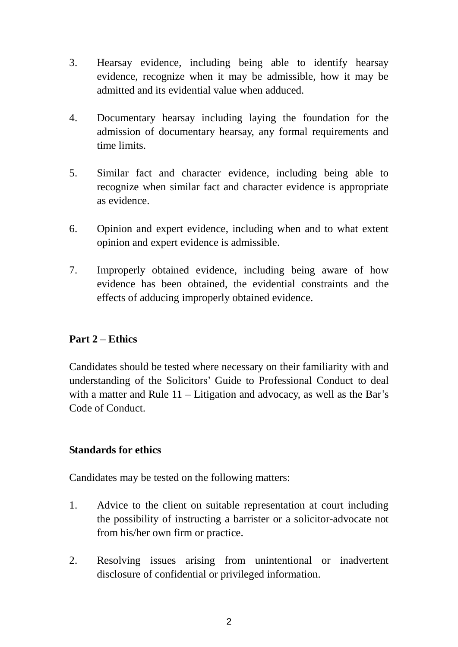- 3. Hearsay evidence, including being able to identify hearsay evidence, recognize when it may be admissible, how it may be admitted and its evidential value when adduced.
- 4. Documentary hearsay including laying the foundation for the admission of documentary hearsay, any formal requirements and time limits.
- 5. Similar fact and character evidence, including being able to recognize when similar fact and character evidence is appropriate as evidence.
- 6. Opinion and expert evidence, including when and to what extent opinion and expert evidence is admissible.
- 7. Improperly obtained evidence, including being aware of how evidence has been obtained, the evidential constraints and the effects of adducing improperly obtained evidence.

#### **Part 2 – Ethics**

Candidates should be tested where necessary on their familiarity with and understanding of the Solicitors' Guide to Professional Conduct to deal with a matter and Rule  $11$  – Litigation and advocacy, as well as the Bar's Code of Conduct.

#### **Standards for ethics**

Candidates may be tested on the following matters:

- 1. Advice to the client on suitable representation at court including the possibility of instructing a barrister or a solicitor-advocate not from his/her own firm or practice.
- 2. Resolving issues arising from unintentional or inadvertent disclosure of confidential or privileged information.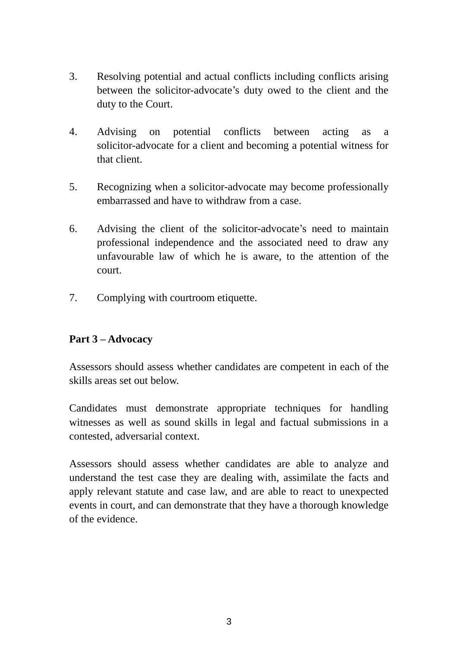- 3. Resolving potential and actual conflicts including conflicts arising between the solicitor-advocate's duty owed to the client and the duty to the Court.
- 4. Advising on potential conflicts between acting as a solicitor-advocate for a client and becoming a potential witness for that client.
- 5. Recognizing when a solicitor-advocate may become professionally embarrassed and have to withdraw from a case.
- 6. Advising the client of the solicitor-advocate's need to maintain professional independence and the associated need to draw any unfavourable law of which he is aware, to the attention of the court.
- 7. Complying with courtroom etiquette.

## **Part 3 – Advocacy**

Assessors should assess whether candidates are competent in each of the skills areas set out below.

Candidates must demonstrate appropriate techniques for handling witnesses as well as sound skills in legal and factual submissions in a contested, adversarial context.

Assessors should assess whether candidates are able to analyze and understand the test case they are dealing with, assimilate the facts and apply relevant statute and case law, and are able to react to unexpected events in court, and can demonstrate that they have a thorough knowledge of the evidence.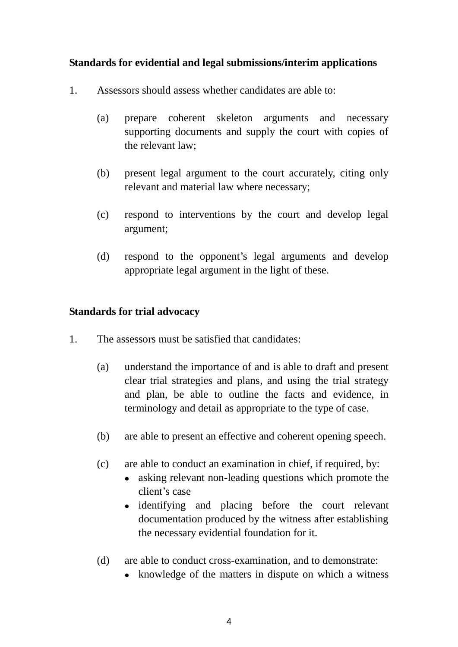#### **Standards for evidential and legal submissions/interim applications**

- 1. Assessors should assess whether candidates are able to:
	- (a) prepare coherent skeleton arguments and necessary supporting documents and supply the court with copies of the relevant law;
	- (b) present legal argument to the court accurately, citing only relevant and material law where necessary;
	- (c) respond to interventions by the court and develop legal argument;
	- (d) respond to the opponent's legal arguments and develop appropriate legal argument in the light of these.

#### **Standards for trial advocacy**

- 1. The assessors must be satisfied that candidates:
	- (a) understand the importance of and is able to draft and present clear trial strategies and plans, and using the trial strategy and plan, be able to outline the facts and evidence, in terminology and detail as appropriate to the type of case.
	- (b) are able to present an effective and coherent opening speech.
	- (c) are able to conduct an examination in chief, if required, by:
		- asking relevant non-leading questions which promote the client's case
		- identifying and placing before the court relevant documentation produced by the witness after establishing the necessary evidential foundation for it.
	- (d) are able to conduct cross-examination, and to demonstrate:
		- knowledge of the matters in dispute on which a witness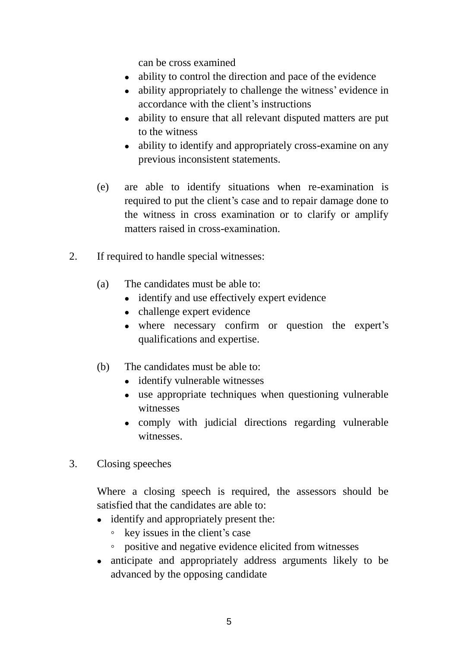can be cross examined

- ability to control the direction and pace of the evidence
- ability appropriately to challenge the witness' evidence in accordance with the client's instructions
- ability to ensure that all relevant disputed matters are put to the witness
- ability to identify and appropriately cross-examine on any previous inconsistent statements.
- (e) are able to identify situations when re-examination is required to put the client's case and to repair damage done to the witness in cross examination or to clarify or amplify matters raised in cross-examination.
- 2. If required to handle special witnesses:
	- (a) The candidates must be able to:
		- identify and use effectively expert evidence
		- challenge expert evidence
		- where necessary confirm or question the expert's qualifications and expertise.
	- (b) The candidates must be able to:
		- identify vulnerable witnesses
		- use appropriate techniques when questioning vulnerable witnesses
		- comply with judicial directions regarding vulnerable witnesses.
- 3. Closing speeches

Where a closing speech is required, the assessors should be satisfied that the candidates are able to:

- identify and appropriately present the:
	- key issues in the client's case
	- positive and negative evidence elicited from witnesses
- anticipate and appropriately address arguments likely to be advanced by the opposing candidate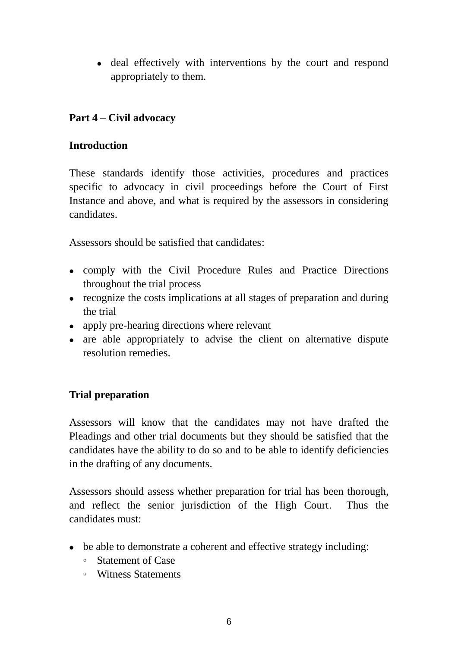deal effectively with interventions by the court and respond appropriately to them.

## **Part 4 – Civil advocacy**

#### **Introduction**

These standards identify those activities, procedures and practices specific to advocacy in civil proceedings before the Court of First Instance and above, and what is required by the assessors in considering candidates.

Assessors should be satisfied that candidates:

- comply with the Civil Procedure Rules and Practice Directions throughout the trial process
- recognize the costs implications at all stages of preparation and during the trial
- apply pre-hearing directions where relevant
- are able appropriately to advise the client on alternative dispute resolution remedies.

## **Trial preparation**

Assessors will know that the candidates may not have drafted the Pleadings and other trial documents but they should be satisfied that the candidates have the ability to do so and to be able to identify deficiencies in the drafting of any documents.

Assessors should assess whether preparation for trial has been thorough, and reflect the senior jurisdiction of the High Court. Thus the candidates must:

- be able to demonstrate a coherent and effective strategy including:
	- Statement of Case
	- Witness Statements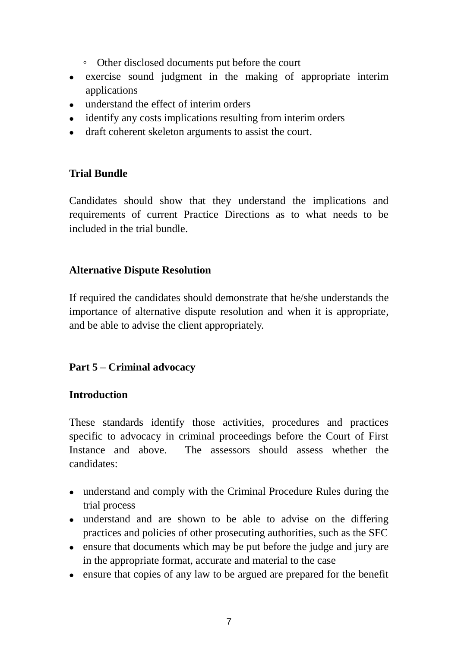- Other disclosed documents put before the court
- exercise sound judgment in the making of appropriate interim applications
- understand the effect of interim orders
- identify any costs implications resulting from interim orders
- draft coherent skeleton arguments to assist the court.

#### **Trial Bundle**

Candidates should show that they understand the implications and requirements of current Practice Directions as to what needs to be included in the trial bundle.

#### **Alternative Dispute Resolution**

If required the candidates should demonstrate that he/she understands the importance of alternative dispute resolution and when it is appropriate, and be able to advise the client appropriately.

## **Part 5 – Criminal advocacy**

#### **Introduction**

These standards identify those activities, procedures and practices specific to advocacy in criminal proceedings before the Court of First Instance and above. The assessors should assess whether the candidates:

- understand and comply with the Criminal Procedure Rules during the trial process
- understand and are shown to be able to advise on the differing practices and policies of other prosecuting authorities, such as the SFC
- ensure that documents which may be put before the judge and jury are in the appropriate format, accurate and material to the case
- ensure that copies of any law to be argued are prepared for the benefit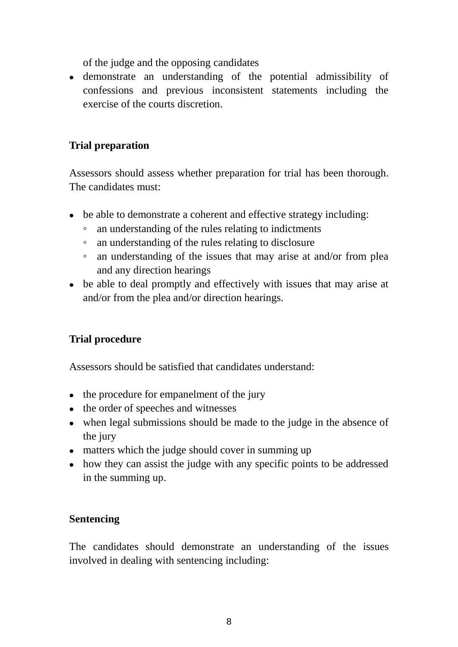of the judge and the opposing candidates

 demonstrate an understanding of the potential admissibility of confessions and previous inconsistent statements including the exercise of the courts discretion.

## **Trial preparation**

Assessors should assess whether preparation for trial has been thorough. The candidates must:

- be able to demonstrate a coherent and effective strategy including:
	- an understanding of the rules relating to indictments
	- an understanding of the rules relating to disclosure
	- an understanding of the issues that may arise at and/or from plea and any direction hearings
- be able to deal promptly and effectively with issues that may arise at and/or from the plea and/or direction hearings.

## **Trial procedure**

Assessors should be satisfied that candidates understand:

- the procedure for empanelment of the jury
- the order of speeches and witnesses
- when legal submissions should be made to the judge in the absence of the jury
- matters which the judge should cover in summing up
- how they can assist the judge with any specific points to be addressed in the summing up.

## **Sentencing**

The candidates should demonstrate an understanding of the issues involved in dealing with sentencing including: